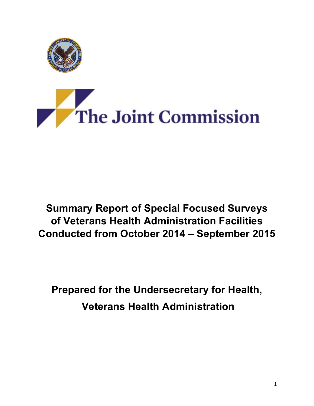

# The Joint Commission

# **Summary Report of Special Focused Surveys Conducted from October 2014 – September 2015 of Veterans Health Administration Facilities**

**Prepared for the Undersecretary for Health, Veterans Health Administration**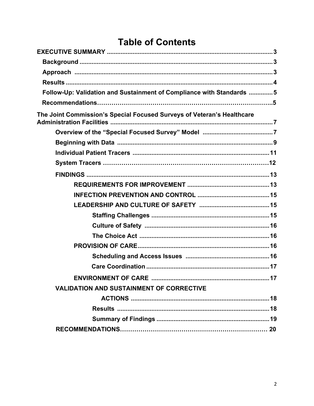# **Table of Contents**

| Follow-Up: Validation and Sustainment of Compliance with Standards 5   |
|------------------------------------------------------------------------|
|                                                                        |
| The Joint Commission's Special Focused Surveys of Veteran's Healthcare |
|                                                                        |
|                                                                        |
|                                                                        |
|                                                                        |
|                                                                        |
|                                                                        |
|                                                                        |
|                                                                        |
|                                                                        |
|                                                                        |
|                                                                        |
|                                                                        |
|                                                                        |
|                                                                        |
| <b>ENVIRONMENT OF CARE </b>                                            |
| <b>VALIDATION AND SUSTAINMENT OF CORRECTIVE</b>                        |
|                                                                        |
|                                                                        |
|                                                                        |
|                                                                        |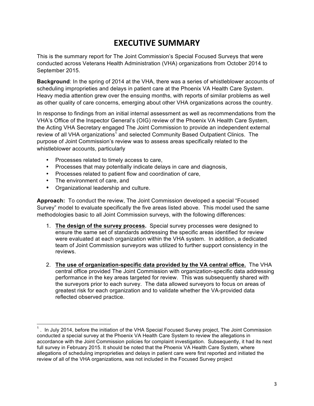# **EXECUTIVE SUMMARY**

 This is the summary report for The Joint Commission's Special Focused Surveys that were September 2015. conducted across Veterans Health Administration (VHA) organizations from October 2014 to

 **Background**: In the spring of 2014 at the VHA, there was a series of whistleblower accounts of scheduling improprieties and delays in patient care at the Phoenix VA Health Care System. Heavy media attention grew over the ensuing months, with reports of similar problems as well as other quality of care concerns, emerging about other VHA organizations across the country.

 VHA's Office of the Inspector General's (OIG) review of the Phoenix VA Health Care System, the Acting VHA Secretary engaged The Joint Commission to provide an independent external review of all VHA organizations<sup>1</sup> and selected Community Based Outpatient Clinics. The purpose of Joint Commission's review was to assess areas specifically related to the whistleblower accounts, particularly In response to findings from an initial internal assessment as well as recommendations from the

- • Processes related to timely access to care,
- • Processes that may potentially indicate delays in care and diagnosis,
- • Processes related to patient flow and coordination of care,
- The environment of care, and

<u> 1989 - Jan Stein Stein, fransk politiker (d. 1989)</u>

• Organizational leadership and culture.

 **Approach:** To conduct the review, The Joint Commission developed a special "Focused Survey" model to evaluate specifically the five areas listed above. This model used the same methodologies basic to all Joint Commission surveys, with the following differences:

- 1. The design of the survey process. Special survey processes were designed to ensure the same set of standards addressing the specific areas identified for review were evaluated at each organization within the VHA system. In addition, a dedicated team of Joint Commission surveyors was utilized to further support consistency in the reviews.
- 2. The use of organization-specific data provided by the VA central office. The VHA central office provided The Joint Commission with organization-specific data addressing performance in the key areas targeted for review. This was subsequently shared with the surveyors prior to each survey. The data allowed surveyors to focus on areas of greatest risk for each organization and to validate whether the VA-provided data reflected observed practice.

 $1$ . In July 2014, before the initiation of the VHA Special Focused Survey project, The Joint Commission conducted a special survey at the Phoenix VA Health Care System to review the allegations in accordance with the Joint Commission policies for complaint investigation. Subsequently, it had its next allegations of scheduling improprieties and delays in patient care were first reported and initiated the review of all of the VHA organizations, was not included in the Focused Survey project full survey in February 2015. It should be noted that the Phoenix VA Health Care System, where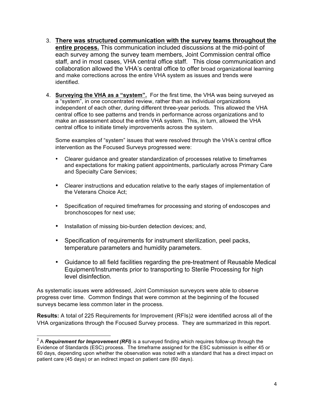- 3. **There was structured communication with the survey teams throughout the** entire process. This communication included discussions at the mid-point of each survey among the survey team members, Joint Commission central office staff, and in most cases, VHA central office staff. This close communication and collaboration allowed the VHA's central office to offer broad organizational learning and make corrections across the entire VHA system as issues and trends were identified.
- identified. 4. **Surveying the VHA as a "system".** For the first time, the VHA was being surveyed as a "system", in one concentrated review, rather than as individual organizations independent of each other, during different three-year periods. This allowed the VHA central office to see patterns and trends in performance across organizations and to make an assessment about the entire VHA system. This, in turn, allowed the VHA central office to initiate timely improvements across the system.

 Some examples of "system" issues that were resolved through the VHA's central office intervention as the Focused Surveys progressed were:

- • Clearer guidance and greater standardization of processes relative to timeframes and expectations for making patient appointments, particularly across Primary Care and Specialty Care Services;
- • Clearer instructions and education relative to the early stages of implementation of the Veterans Choice Act;
- • Specification of required timeframes for processing and storing of endoscopes and bronchoscopes for next use;
- Installation of missing bio-burden detection devices; and,

<u> 1989 - Jan Stein Stein, fransk politiker (d. 1989)</u>

- • Specification of requirements for instrument sterilization, peel packs, temperature parameters and humidity parameters.
- • Guidance to all field facilities regarding the pre-treatment of Reusable Medical Equipment/Instruments prior to transporting to Sterile Processing for high level disinfection.

 As systematic issues were addressed, Joint Commission surveyors were able to observe progress over time. Common findings that were common at the beginning of the focused surveys became less common later in the process.

 **Results:** A total of 225 Requirements for Improvement (RFIs)2 were identified across all of the VHA organizations through the Focused Survey process. They are summarized in this report.

<sup>&</sup>lt;sup>2</sup> A *Requirement for Improvement (RFI)* is a surveyed finding which requires follow-up through the Evidence of Standards (ESC) process. The timeframe assigned for the ESC submission is either 45 or 60 days, depending upon whether the observation was noted with a standard that has a direct impact on patient care (45 days) or an indirect impact on patient care (60 days).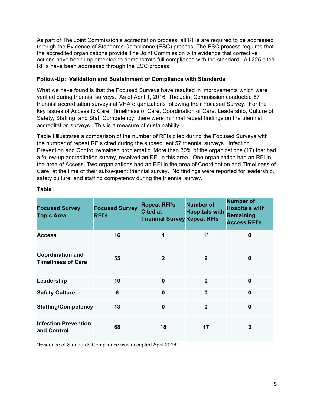As part of The Joint Commission's accreditation process, all RFIs are required to be addressed through the Evidence of Standards Compliance (ESC) process. The ESC process requires that the accredited organizations provide The Joint Commission with evidence that corrective actions have been implemented to demonstrate full compliance with the standard. All 225 cited RFIs have been addressed through the ESC process.

#### **Follow-Up: Validation and Sustainment of Compliance with Standards**

 What we have found is that the Focused Surveys have resulted in improvements which were verified during triennial surveys. As of April 1, 2016, The Joint Commission conducted 57 triennial accreditation surveys at VHA organizations following their Focused Survey. For the key issues of Access to Care, Timeliness of Care, Coordination of Care, Leadership, Culture of Safety, Staffing, and Staff Competency, there were minimal repeat findings on the triennial accreditation surveys. This is a measure of sustainability.

 Table I illustrates a comparison of the number of RFIs cited during the Focused Surveys with the number of repeat RFIs cited during the subsequent 57 triennial surveys. Infection Prevention and Control remained problematic. More than 30% of the organizations (17) that had a follow-up accreditation survey, received an RFI in this area. One organization had an RFI in Care, at the time of their subsequent triennial survey. No findings were reported for leadership, safety culture, and staffing competency during the triennial survey. the area of Access. Two organizations had an RFI in the area of Coordination and Timeliness of

| <b>Focused Survey</b><br><b>Topic Area</b>           | <b>Focused Survey</b><br><b>RFI's</b> | <b>Repeat RFI's</b><br><b>Cited at</b><br><b>Triennial Survey Repeat RFIs</b> | <b>Number of</b><br><b>Hospitals with</b> | <b>Number of</b><br><b>Hospitals with</b><br><b>Remaining</b><br><b>Access RFI's</b> |
|------------------------------------------------------|---------------------------------------|-------------------------------------------------------------------------------|-------------------------------------------|--------------------------------------------------------------------------------------|
| <b>Access</b>                                        | 16                                    | 1                                                                             | $1*$                                      | $\mathbf 0$                                                                          |
| <b>Coordination and</b><br><b>Timeliness of Care</b> | 55                                    | $\mathbf 2$                                                                   | $\mathbf{2}$                              | $\mathbf{0}$                                                                         |
| Leadership                                           | 10                                    | $\bf{0}$                                                                      | $\mathbf 0$                               | $\mathbf 0$                                                                          |
| <b>Safety Culture</b>                                | 6                                     | $\mathbf 0$                                                                   | $\mathbf 0$                               | $\mathbf{0}$                                                                         |
| <b>Staffing/Competency</b>                           | 13                                    | $\mathbf 0$                                                                   | $\mathbf 0$                               | $\mathbf 0$                                                                          |
| <b>Infection Prevention</b><br>and Control           | 68                                    | 18                                                                            | 17                                        | 3                                                                                    |

#### **Table I**

\*Evidence of Standards Compliance was accepted April 2016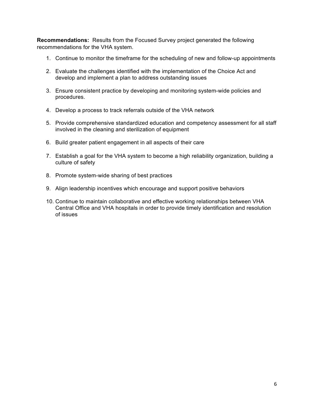**Recommendations:** Results from the Focused Survey project generated the following recommendations for the VHA system.

- 1. Continue to monitor the timeframe for the scheduling of new and follow-up appointments
- 2. Evaluate the challenges identified with the implementation of the Choice Act and develop and implement a plan to address outstanding issues
- 3. Ensure consistent practice by developing and monitoring system-wide policies and procedures.
- 4. Develop a process to track referrals outside of the VHA network
- involved in the cleaning and sterilization of equipment 5. Provide comprehensive standardized education and competency assessment for all staff
- 6. Build greater patient engagement in all aspects of their care
- 7. Establish a goal for the VHA system to become a high reliability organization, building a culture of safety
- 8. Promote system-wide sharing of best practices
- 9. Align leadership incentives which encourage and support positive behaviors
- 10. Continue to maintain collaborative and effective working relationships between VHA Central Office and VHA hospitals in order to provide timely identification and resolution of issues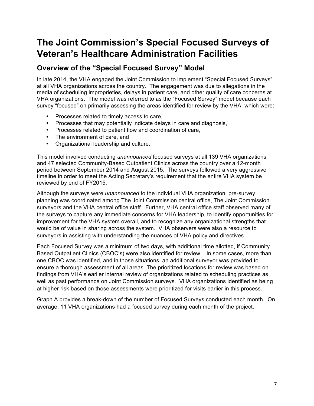# **The Joint Commission's Special Focused Surveys of Veteran's Healthcare Administration Facilities**

## **Overview of the "Special Focused Survey" Model**

 In late 2014, the VHA engaged the Joint Commission to implement "Special Focused Surveys" at all VHA organizations across the country. The engagement was due to allegations in the media of scheduling improprieties, delays in patient care, and other quality of care concerns at VHA organizations. The model was referred to as the "Focused Survey" model because each survey "focused" on primarily assessing the areas identified for review by the VHA, which were:

- Processes related to timely access to care,
- Processes that may potentially indicate delays in care and diagnosis,
- Processes related to patient flow and coordination of care,
- The environment of care, and
- Organizational leadership and culture.

 This model involved conducting *unannounced* focused surveys at all 139 VHA organizations and 47 selected Community-Based Outpatient Clinics across the country over a 12-month period between September 2014 and August 2015. The surveys followed a very aggressive timeline in order to meet the Acting Secretary's requirement that the entire VHA system be reviewed by end of FY2015.

 Although the surveys were *unannounced* to the individual VHA organization, pre-survey planning was coordinated among The Joint Commission central office, The Joint Commission surveyors and the VHA central office staff. Further, VHA central office staff observed many of improvement for the VHA system overall, and to recognize any organizational strengths that would be of value in sharing across the system. VHA observers were also a resource to surveyors in assisting with understanding the nuances of VHA policy and directives. the surveys to capture any immediate concerns for VHA leadership, to identify opportunities for

 Each Focused Survey was a minimum of two days, with additional time allotted, if Community Based Outpatient Clinics (CBOC's) were also identified for review. In some cases, more than one CBOC was identified, and in those situations, an additional surveyor was provided to ensure a thorough assessment of all areas. The prioritized locations for review was based on findings from VHA's earlier internal review of organizations related to scheduling practices as well as past performance on Joint Commission surveys. VHA organizations identified as being at higher risk based on those assessments were prioritized for visits earlier in this process.

 Graph A provides a break-down of the number of Focused Surveys conducted each month. On average, 11 VHA organizations had a focused survey during each month of the project.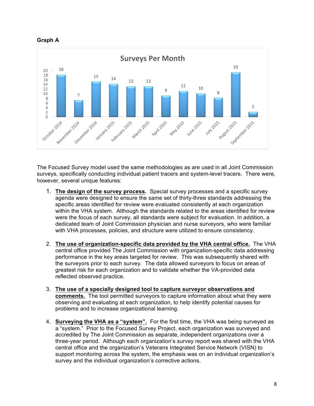



 The Focused Survey model used the same methodologies as are used in all Joint Commission surveys, specifically conducting individual patient tracers and system-level tracers. There were, however, several unique features:

- 1. The design of the survey process. Special survey processes and a specific survey agenda were designed to ensure the same set of thirty-three standards addressing the specific areas identified for review were evaluated consistently at each organization within the VHA system. Although the standards related to the areas identified for review were the focus of each survey, all standards were subject for evaluation. In addition, a dedicated team of Joint Commission physician and nurse surveyors, who were familiar with VHA processes, policies, and structure were utilized to ensure consistency.
- 2. The use of organization-specific data provided by the VHA central office. The VHA central office provided The Joint Commission with organization-specific data addressing performance in the key areas targeted for review. This was subsequently shared with greatest risk for each organization and to validate whether the VA-provided data reflected observed practice. the surveyors prior to each survey. The data allowed surveyors to focus on areas of
- 3. **The use of a specially designed tool to capture surveyor observations and comments.** The tool permitted surveyors to capture information about what they were observing and evaluating at each organization, to help identify potential causes for problems and to increase organizational learning.
- 4. **Surveying the VHA as a "system".** For the first time, the VHA was being surveyed as a "system." Prior to the Focused Survey Project, each organization was surveyed and accredited by The Joint Commission as separate, independent organizations over a three-year period. Although each organization's survey report was shared with the VHA central office and the organization's Veterans Integrated Service Network (VISN) to support monitoring across the system, the emphasis was on an individual organization's survey and the individual organization's corrective actions.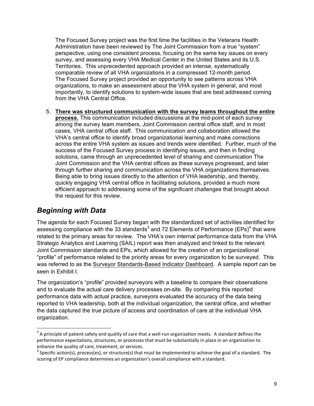The Focused Survey project was the first time the facilities in the Veterans Health Administration have been reviewed by The Joint Commission from a true "system" perspective, using one consistent process, focusing on the same key issues on every survey, and assessing every VHA Medical Center in the United States and its U.S. Territories. This unprecedented approach provided an intense, systematically comparable review of all VHA organizations in a compressed 12-month period. The Focused Survey project provided an opportunity to see patterns across VHA organizations, to make an assessment about the VHA system in general, and most importantly, to identify solutions to system-wide issues that are best addressed coming from the VHA Central Office.

5. There was structured communication with the survey teams throughout the entire **process.** This communication included discussions at the mid-point of each survey cases, VHA central office staff. This communication and collaboration allowed the VHA's central office to identify broad organizational learning and make corrections across the entire VHA system as issues and trends were identified. Further, much of the success of the Focused Survey process in identifying issues, and then in finding solutions, came through an unprecedented level of sharing and communication The Joint Commission and the VHA central offices as these surveys progressed, and later Being able to bring issues directly to the attention of VHA leadership, and thereby, quickly engaging VHA central office in facilitating solutions, provided a much more efficient approach to addressing some of the significant challenges that brought about among the survey team members, Joint Commission central office staff, and in most through further sharing and communication across the VHA organizations themselves. the request for this review.

## *Beginning with Data*

<u> 1989 - Jan Stein Stein, fransk politiker (d. 1989)</u>

 The agenda for each Focused Survey began with the standardized set of activities identified for assessing compliance with the 33 standards<sup>3</sup> and 72 Elements of Performance (EPs)<sup>4</sup> that were related to the primary areas for review. The VHA's own internal performance data from the VHA Strategic Analytics and Learning (SAIL) report was then analyzed and linked to the relevant Joint Commission standards and EPs, which allowed for the creation of an organizational "profile" of performance related to the priority areas for every organization to be surveyed. This was referred to as the Surveyor Standards-Based Indicator Dashboard. A sample report can be seen in Exhibit I.

 The organization's "profile" provided surveyors with a baseline to compare their observations and to evaluate the actual care delivery processes on-site. By comparing this reported the data captured the true picture of access and coordination of care at the individual VHA performance data with actual practice, surveyors evaluated the accuracy of the data being reported to VHA leadership, both at the individual organization, the central office, and whether organization.

 $^3$  A principle of patient safety and quality of care that a well-run organization meets. A standard defines the performance expectations, structures, or processes that must be substantially in place in an organization to enhance the quality of care, treatment, or services.

enhance the quality of care, treatment, or services.<br><sup>4</sup> Specific action(s), process(es), or structure(s) that must be implemented to achieve the goal of a standard. The scoring of EP compliance determines an organization's overall compliance with a standard.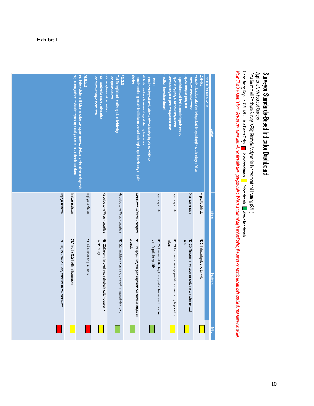#### **Exhibit I**

|                                                                        | care, treatment, and services when they report safety or quality-of-care concerns to The Joint Commission. | EP3. The hospital takes no disciplinary or punitive action against employees, physicians, or other individuals who provide<br><b>APR.09.02.01</b> | Staff willingness to report adverse events<br>Staff suggestions for improving patient safety<br>Staff perceptions of risk to individuals | EP 30: The hospital considers collecting data on the following:<br><b>PI.01.01.01</b><br>Staff opinions and needs | EP3: Leaders provide opportunities for all individuals who work in the hospital to participate in safety and quality<br>nitiatives. | EP2: Leaders prioritize and implement changes identified by the evaluation.<br>EP1: Leaders regularly evaluate the culture of safety and quality using valid and reliable tools.<br>10.03.01.01 | Safety and quality issues specific to the population served<br>Input from the population(s) served.<br>Reports on key quality measures and safety indicators | Proposed solutions and their impact on the hospital's resources<br>Reported safety and quality issues<br>Performance improvement activities | EP1: Leaders discuss issues that affect the hospital and the population(s) it serves, including the following:<br>10.02.03.01 | LEADERSHIP / CULTURE OF SAFETY | <b><i><u>Standard</u></i></b> |
|------------------------------------------------------------------------|------------------------------------------------------------------------------------------------------------|---------------------------------------------------------------------------------------------------------------------------------------------------|------------------------------------------------------------------------------------------------------------------------------------------|-------------------------------------------------------------------------------------------------------------------|-------------------------------------------------------------------------------------------------------------------------------------|-------------------------------------------------------------------------------------------------------------------------------------------------------------------------------------------------|--------------------------------------------------------------------------------------------------------------------------------------------------------------|---------------------------------------------------------------------------------------------------------------------------------------------|-------------------------------------------------------------------------------------------------------------------------------|--------------------------------|-------------------------------|
| Employee satisfaction                                                  | Employee satisfaction                                                                                      | Employee satisfaction                                                                                                                             | General workplace/Workplace perceptions                                                                                                  | General workplace/Workplace perceptions                                                                           | General workplace/Workplace perceptions                                                                                             | Supervisory behaviors                                                                                                                                                                           | Supervisory behaviors                                                                                                                                        | Supervisory behaviors                                                                                                                       | Organizational climate                                                                                                        |                                | <b>Indicator</b>              |
| SAIL Tab 4, Line 53: Recommend my organization as a good place to work | SAIL Tab 4, Line 52: Satisfaction with organization                                                        | SAIL, Tab 4, Line 50: Best place to work                                                                                                          | systems redesign.<br>AES, Q33: Employees in my work group are involved in quality improvement or                                         | AES, Q32: The safety of workers is a big priority with management where I work.                                   | on the job.<br>AES, Q30: Employees in my work group are protected from health and safety hazards                                    | even if I'm partially responsible.<br>AES, Q44: I feel comfortable talking to my supervisor about work-related problems                                                                         | decision.<br>AES, Q43: My supervisor encourages people to speak up when they disagree with a                                                                 | issues.<br>AES, Q.25: Members in my work group are able to bring up problems and tough                                                      | AES Q14: Ideas and opinions count at work                                                                                     |                                | Data Source                   |
|                                                                        |                                                                                                            |                                                                                                                                                   |                                                                                                                                          |                                                                                                                   |                                                                                                                                     |                                                                                                                                                                                                 |                                                                                                                                                              |                                                                                                                                             |                                                                                                                               |                                | <b>Rating</b>                 |

Applies to VHA Focused Sureys<br>Data Source: All Employee Survey (AES); Strategic Analytics for Improvement and Learning (SAIL)<br>Note: This is a sample form. Pre-survey, surveyors will receive this form pre-populated. Where a

Surveyor Standards-Based Indicator Dashboard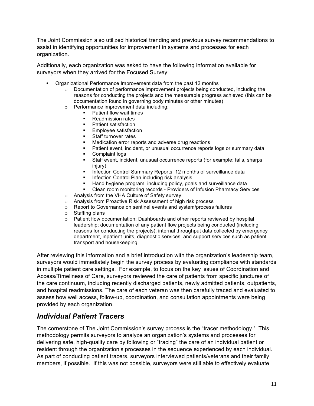The Joint Commission also utilized historical trending and previous survey recommendations to assist in identifying opportunities for improvement in systems and processes for each organization.

organization.<br>Additionally, each organization was asked to have the following information available for surveyors when they arrived for the Focused Survey:

- • Organizational Performance Improvement data from the past 12 months
	- $\circ$  Documentation of performance improvement projects being conducted, including the documentation found in governing body minutes or other minutes) reasons for conducting the projects and the measurable progress achieved (this can be
	- $\circ$  Performance improvement data including:
		- **•** Patient flow wait times
		- § Readmission rates
		- § Patient satisfaction
		- § Employee satisfaction
		- $\mathbf{r}$  . § Staff turnover rates
		- Medication error reports and adverse drug reactions
		- § Patient event, incident, or unusual occurrence reports logs or summary data
		- § Complaint logs
		- § Staff event, incident, unusual occurrence reports (for example: falls, sharps injury)
		- Infection Control Summary Reports, 12 months of surveillance data
		- § Infection Control Plan including risk analysis
		- **EXT** Hand hygiene program, including policy, goals and surveillance data
		- Clean room monitoring records Providers of Infusion Pharmacy Services
	- $\circ$  Analysis from the VHA Culture of Safety survey
	- $\circ$  Analysis from Proactive Risk Assessment of high risk process
	- $\circ$  Report to Governance on sentinel events and system/process failures
	- $\circ$  Staffing plans
	- $\circ$  Patient flow documentation: Dashboards and other reports reviewed by hospital leadership; documentation of any patient flow projects being conducted (including reasons for conducting the projects); internal throughput data collected by emergency department, inpatient units, diagnostic services, and support services such as patient transport and housekeeping.

 After reviewing this information and a brief introduction with the organization's leadership team, in multiple patient care settings. For example, to focus on the key issues of Coordination and Access/Timeliness of Care, surveyors reviewed the care of patients from specific junctures of and hospital readmissions. The care of each veteran was then carefully traced and evaluated to assess how well access, follow-up, coordination, and consultation appointments were being surveyors would immediately begin the survey process by evaluating compliance with standards the care continuum, including recently discharged patients, newly admitted patients, outpatients, provided by each organization.

## *Individual Patient Tracers*

 The cornerstone of The Joint Commission's survey process is the "tracer methodology." This methodology permits surveyors to analyze an organization's systems and processes for delivering safe, high-quality care by following or "tracing" the care of an individual patient or resident through the organization's processes in the sequence experienced by each individual. As part of conducting patient tracers, surveyors interviewed patients/veterans and their family members, if possible. If this was not possible, surveyors were still able to effectively evaluate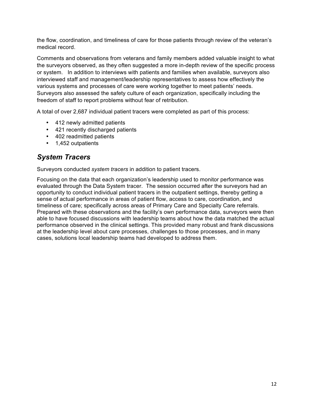the flow, coordination, and timeliness of care for those patients through review of the veteran's medical record.

medical record.<br>Comments and observations from veterans and family members added valuable insight to what the surveyors observed, as they often suggested a more in-depth review of the specific process or system. In addition to interviews with patients and families when available, surveyors also interviewed staff and management/leadership representatives to assess how effectively the various systems and processes of care were working together to meet patients' needs. Surveyors also assessed the safety culture of each organization, specifically including the freedom of staff to report problems without fear of retribution.

A total of over 2,687 individual patient tracers were completed as part of this process:

- 412 newly admitted patients
- 421 recently discharged patients
- 402 readmitted patients
- 1,452 outpatients

## *System Tracers*

Surveyors conducted *system tracers* in addition to patient tracers.

 evaluated through the Data System tracer. The session occurred after the surveyors had an opportunity to conduct individual patient tracers in the outpatient settings, thereby getting a sense of actual performance in areas of patient flow, access to care, coordination, and timeliness of care; specifically across areas of Primary Care and Specialty Care referrals. Prepared with these observations and the facility's own performance data, surveyors were then able to have focused discussions with leadership teams about how the data matched the actual performance observed in the clinical settings. This provided many robust and frank discussions at the leadership level about care processes, challenges to those processes, and in many cases, solutions local leadership teams had developed to address them. Focusing on the data that each organization's leadership used to monitor performance was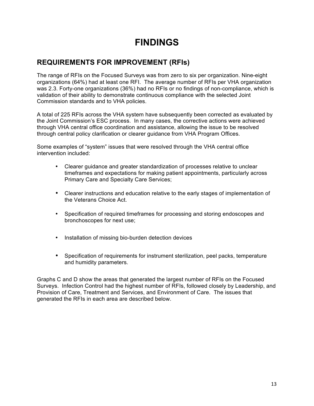# **FINDINGS**

## **REQUIREMENTS FOR IMPROVEMENT (RFIs)**

 The range of RFIs on the Focused Surveys was from zero to six per organization. Nine-eight organizations (64%) had at least one RFI. The average number of RFIs per VHA organization was 2.3. Forty-one organizations (36%) had no RFIs or no findings of non-compliance, which is validation of their ability to demonstrate continuous compliance with the selected Joint Commission standards and to VHA policies.

 the Joint Commission's ESC process. In many cases, the corrective actions were achieved through central policy clarification or clearer guidance from VHA Program Offices. A total of 225 RFIs across the VHA system have subsequently been corrected as evaluated by through VHA central office coordination and assistance, allowing the issue to be resolved

 Some examples of "system" issues that were resolved through the VHA central office intervention included:

- Clearer guidance and greater standardization of processes relative to unclear Primary Care and Specialty Care Services; timeframes and expectations for making patient appointments, particularly across
- • Clearer instructions and education relative to the early stages of implementation of the Veterans Choice Act.
- • Specification of required timeframes for processing and storing endoscopes and bronchoscopes for next use;
- Installation of missing bio-burden detection devices
- Specification of requirements for instrument sterilization, peel packs, temperature and humidity parameters.

 Graphs C and D show the areas that generated the largest number of RFIs on the Focused Surveys. Infection Control had the highest number of RFIs, followed closely by Leadership, and Provision of Care, Treatment and Services, and Environment of Care. The issues that generated the RFIs in each area are described below.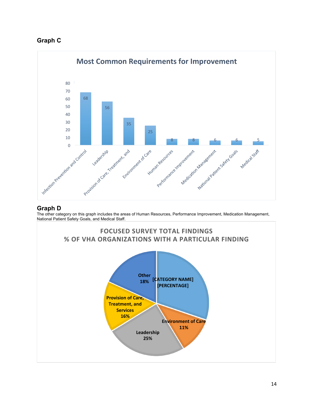



#### **Graph D**

j The other category on this graph includes the areas of Human Resources, Performance Improvement, Medication Management, National Patient Safety Goals, and Medical Staff.

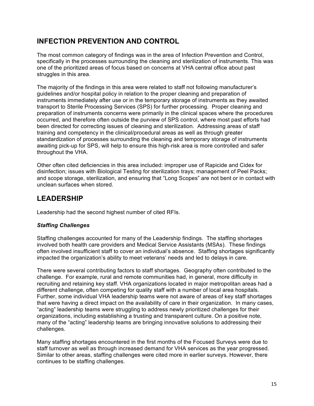## **INFECTION PREVENTION AND CONTROL**

 The most common category of findings was in the area of Infection Prevention and Control, specifically in the processes surrounding the cleaning and sterilization of instruments. This was one of the prioritized areas of focus based on concerns at VHA central office about past struggles in this area.

 The majority of the findings in this area were related to staff not following manufacturer's guidelines and/or hospital policy in relation to the proper cleaning and preparation of instruments immediately after use or in the temporary storage of instruments as they awaited transport to Sterile Processing Services (SPS) for further processing. Proper cleaning and preparation of instruments concerns were primarily in the clinical spaces where the procedures occurred, and therefore often outside the purview of SPS control, where most past efforts had been directed for correcting issues of cleaning and sterilization. Addressing areas of staff training and competency in the clinical/procedural areas as well as through greater standardization of processes surrounding the cleaning and temporary storage of instruments awaiting pick-up for SPS, will help to ensure this high-risk area is more controlled and safer throughout the VHA.

 Other often cited deficiencies in this area included: improper use of Rapicide and Cidex for disinfection; issues with Biological Testing for sterilization trays; management of Peel Packs; and scope storage, sterilization, and ensuring that "Long Scopes" are not bent or in contact with unclean surfaces when stored.

## **LEADERSHIP**

Leadership had the second highest number of cited RFIs.

#### *Staffing Challenges*

 Staffing challenges accounted for many of the Leadership findings. The staffing shortages involved both health care providers and Medical Service Assistants (MSAs). These findings often involved insufficient staff to cover an individual's absence. Staffing shortages significantly impacted the organization's ability to meet veterans' needs and led to delays in care.

 There were several contributing factors to staff shortages. Geography often contributed to the challenge. For example, rural and remote communities had, in general, more difficulty in recruiting and retaining key staff. VHA organizations located in major metropolitan areas had a different challenge, often competing for quality staff with a number of local area hospitals. Further, some individual VHA leadership teams were not aware of areas of key staff shortages "acting" leadership teams were struggling to address newly prioritized challenges for their organizations, including establishing a trusting and transparent culture. On a positive note, many of the "acting" leadership teams are bringing innovative solutions to addressing their that were having a direct impact on the availability of care in their organization. In many cases, challenges.

 Many staffing shortages encountered in the first months of the Focused Surveys were due to staff turnover as well as through increased demand for VHA services as the year progressed. Similar to other areas, staffing challenges were cited more in earlier surveys. However, there continues to be staffing challenges.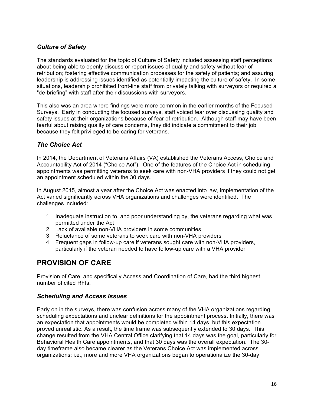#### *Culture of Safety*

 The standards evaluated for the topic of Culture of Safety included assessing staff perceptions about being able to openly discuss or report issues of quality and safety without fear of leadership is addressing issues identified as potentially impacting the culture of safety. In some situations, leadership prohibited front-line staff from privately talking with surveyors or required a "de-briefing" with staff after their discussions with surveyors. retribution; fostering effective communication processes for the safety of patients; and assuring

 This also was an area where findings were more common in the earlier months of the Focused Surveys. Early in conducting the focused surveys, staff voiced fear over discussing quality and safety issues at their organizations because of fear of retribution. Although staff may have been fearful about raising quality of care concerns, they did indicate a commitment to their job because they felt privileged to be caring for veterans.

#### *The Choice Act*

 In 2014, the Department of Veterans Affairs (VA) established the Veterans Access, Choice and Accountability Act of 2014 ("Choice Act"). One of the features of the Choice Act in scheduling appointments was permitting veterans to seek care with non-VHA providers if they could not get an appointment scheduled within the 30 days.

 In August 2015, almost a year after the Choice Act was enacted into law, implementation of the Act varied significantly across VHA organizations and challenges were identified. The challenges included:

- 1. Inadequate instruction to, and poor understanding by, the veterans regarding what was permitted under the Act
- 2. Lack of available non-VHA providers in some communities
- 3. Reluctance of some veterans to seek care with non-VHA providers
- 4. Frequent gaps in follow-up care if veterans sought care with non-VHA providers, particularly if the veteran needed to have follow-up care with a VHA provider

## **PROVISION OF CARE**

 Provision of Care, and specifically Access and Coordination of Care, had the third highest number of cited RFIs.

#### *Scheduling and Access Issues*

 Early on in the surveys, there was confusion across many of the VHA organizations regarding scheduling expectations and unclear definitions for the appointment process. Initially, there was an expectation that appointments would be completed within 14 days, but this expectation proved unrealistic. As a result, the time frame was subsequently extended to 30 days. This change resulted from the VHA Central Office clarifying that 14 days was the goal, particularly for Behavioral Health Care appointments, and that 30 days was the overall expectation. The 30- day timeframe also became clearer as the Veterans Choice Act was implemented across organizations; i.e., more and more VHA organizations began to operationalize the 30-day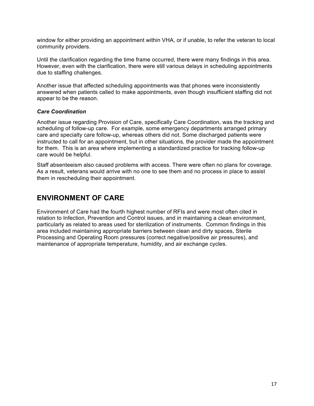window for either providing an appointment within VHA, or if unable, to refer the veteran to local community providers.

 Until the clarification regarding the time frame occurred, there were many findings in this area. However, even with the clarification, there were still various delays in scheduling appointments due to staffing challenges.

due to staffing challenges.<br>Another issue that affected scheduling appointments was that phones were inconsistently answered when patients called to make appointments, even though insufficient staffing did not appear to be the reason.

#### *Care Coordination*

 Another issue regarding Provision of Care, specifically Care Coordination, was the tracking and scheduling of follow-up care. For example, some emergency departments arranged primary care and specialty care follow-up, whereas others did not. Some discharged patients were instructed to call for an appointment, but in other situations, the provider made the appointment for them. This is an area where implementing a standardized practice for tracking follow-up care would be helpful.

 Staff absenteeism also caused problems with access. There were often no plans for coverage. As a result, veterans would arrive with no one to see them and no process in place to assist them in rescheduling their appointment.

## **ENVIRONMENT OF CARE**

 Environment of Care had the fourth highest number of RFIs and were most often cited in relation to Infection, Prevention and Control issues, and in maintaining a clean environment, particularly as related to areas used for sterilization of instruments. Common findings in this Processing and Operating Room pressures (correct negative/positive air pressures), and maintenance of appropriate temperature, humidity, and air exchange cycles. area included maintaining appropriate barriers between clean and dirty spaces, Sterile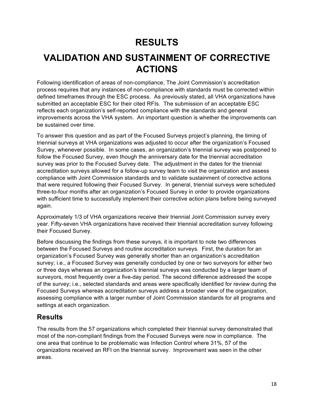# **RESULTS**

# **VALIDATION AND SUSTAINMENT OF CORRECTIVE ACTIONS**

 Following identification of areas of non-compliance, The Joint Commission's accreditation process requires that any instances of non-compliance with standards must be corrected within defined timeframes through the ESC process. As previously stated, all VHA organizations have submitted an acceptable ESC for their cited RFIs. The submission of an acceptable ESC reflects each organization's self-reported compliance with the standards and general improvements across the VHA system. An important question is whether the improvements can be sustained over time.

 To answer this question and as part of the Focused Surveys project's planning, the timing of triennial surveys at VHA organizations was adjusted to occur after the organization's Focused Survey, whenever possible. In some cases, an organization's triennial survey was postponed to follow the Focused Survey, even though the anniversary date for the triennial accreditation survey was prior to the Focused Survey date. The adjustment in the dates for the triennial accreditation surveys allowed for a follow-up survey team to visit the organization and assess compliance with Joint Commission standards and to validate sustainment of corrective actions that were required following their Focused Survey. In general, triennial surveys were scheduled three-to-four months after an organization's Focused Survey in order to provide organizations with sufficient time to successfully implement their corrective action plans before being surveyed again.

 Approximately 1/3 of VHA organizations receive their triennial Joint Commission survey every year. Fifty-seven VHA organizations have received their triennial accreditation survey following their Focused Survey.

 Before discussing the findings from these surveys, it is important to note two differences between the Focused Surveys and routine accreditation surveys. First, the duration for an organization's Focused Survey was generally shorter than an organization's accreditation survey; i.e., a Focused Survey was generally conducted by one or two surveyors for either two or three days whereas an organization's triennial surveys was conducted by a larger team of surveyors, most frequently over a five-day period. The second difference addressed the scope of the survey; i.e., selected standards and areas were specifically identified for review during the Focused Surveys whereas accreditation surveys address a broader view of the organization, assessing compliance with a larger number of Joint Commission standards for all programs and settings at each organization.

## **Results**

 most of the non-compliant findings from the Focused Surveys were now in compliance. The one area that continue to be problematic was Infection Control where 31%, 57 of the organizations received an RFI on the triennial survey. Improvement was seen in the other areas. The results from the 57 organizations which completed their triennial survey demonstrated that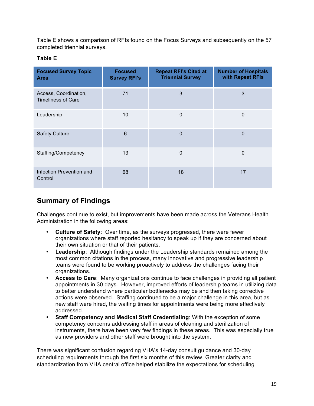Table E shows a comparison of RFIs found on the Focus Surveys and subsequently on the 57 completed triennial surveys.

#### **Table E**

| <b>Focused Survey Topic</b><br><b>Area</b>         | <b>Focused</b><br><b>Survey RFI's</b> | <b>Repeat RFI's Cited at</b><br><b>Triennial Survey</b> | <b>Number of Hospitals</b><br>with Repeat RFIs |
|----------------------------------------------------|---------------------------------------|---------------------------------------------------------|------------------------------------------------|
| Access, Coordination,<br><b>Timeliness of Care</b> | 71                                    | 3                                                       | 3                                              |
| Leadership                                         | 10                                    | $\mathbf{0}$                                            | 0                                              |
| <b>Safety Culture</b>                              | $6\phantom{1}6$                       | $\Omega$                                                | $\Omega$                                       |
| Staffing/Competency                                | 13                                    | $\mathbf{0}$                                            | $\Omega$                                       |
| Infection Prevention and<br>Control                | 68                                    | 18                                                      | 17                                             |

# **Summary of Findings**

 Administration in the following areas: Challenges continue to exist, but improvements have been made across the Veterans Health

- • **Culture of Safety**: Over time, as the surveys progressed, there were fewer organizations where staff reported hesitancy to speak up if they are concerned about their own situation or that of their patients.
- • **Leadership**: Although findings under the Leadership standards remained among the most common citations in the process, many innovative and progressive leadership organizations. teams were found to be working proactively to address the challenges facing their
- • **Access to Care**: Many organizations continue to face challenges in providing all patient appointments in 30 days. However, improved efforts of leadership teams in utilizing data actions were observed. Staffing continued to be a major challenge in this area, but as new staff were hired, the waiting times for appointments were being more effectively to better understand where particular bottlenecks may be and then taking corrective addressed.
- • **Staff Competency and Medical Staff Credentialing**: With the exception of some competency concerns addressing staff in areas of cleaning and sterilization of instruments, there have been very few findings in these areas. This was especially true as new providers and other staff were brought into the system.

 There was significant confusion regarding VHA's 14-day consult guidance and 30-day scheduling requirements through the first six months of this review. Greater clarity and standardization from VHA central office helped stabilize the expectations for scheduling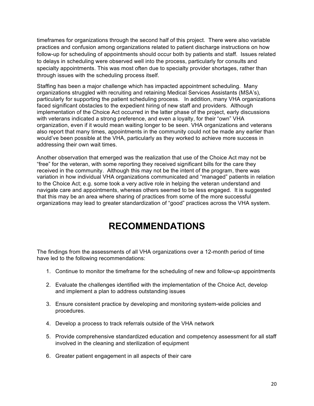timeframes for organizations through the second half of this project. There were also variable practices and confusion among organizations related to patient discharge instructions on how follow-up for scheduling of appointments should occur both by patients and staff. Issues related to delays in scheduling were observed well into the process, particularly for consults and specialty appointments. This was most often due to specialty provider shortages, rather than through issues with the scheduling process itself.

 organizations struggled with recruiting and retaining Medical Services Assistants (MSA's), particularly for supporting the patient scheduling process. In addition, many VHA organizations faced significant obstacles to the expedient hiring of new staff and providers. Although implementation of the Choice Act occurred in the latter phase of the project, early discussions with veterans indicated a strong preference, and even a loyalty, for their "own" VHA organization, even if it would mean waiting longer to be seen. VHA organizations and veterans also report that many times, appointments in the community could not be made any earlier than would've been possible at the VHA, particularly as they worked to achieve more success in addressing their own wait times. Staffing has been a major challenge which has impacted appointment scheduling. Many

 "free" for the veteran, with some reporting they received significant bills for the care they received in the community. Although this may not be the intent of the program, there was variation in how individual VHA organizations communicated and "managed" patients in relation to the Choice Act; e.g. some took a very active role in helping the veteran understand and that this may be an area where sharing of practices from some of the more successful organizations may lead to greater standardization of "good" practices across the VHA system. Another observation that emerged was the realization that use of the Choice Act may not be navigate care and appointments, whereas others seemed to be less engaged. It is suggested

# **RECOMMENDATIONS**

 The findings from the assessments of all VHA organizations over a 12-month period of time have led to the following recommendations:

- 1. Continue to monitor the timeframe for the scheduling of new and follow-up appointments
- 2. Evaluate the challenges identified with the implementation of the Choice Act, develop and implement a plan to address outstanding issues
- 3. Ensure consistent practice by developing and monitoring system-wide policies and procedures.
- 4. Develop a process to track referrals outside of the VHA network
- 5. Provide comprehensive standardized education and competency assessment for all staff involved in the cleaning and sterilization of equipment
- 6. Greater patient engagement in all aspects of their care